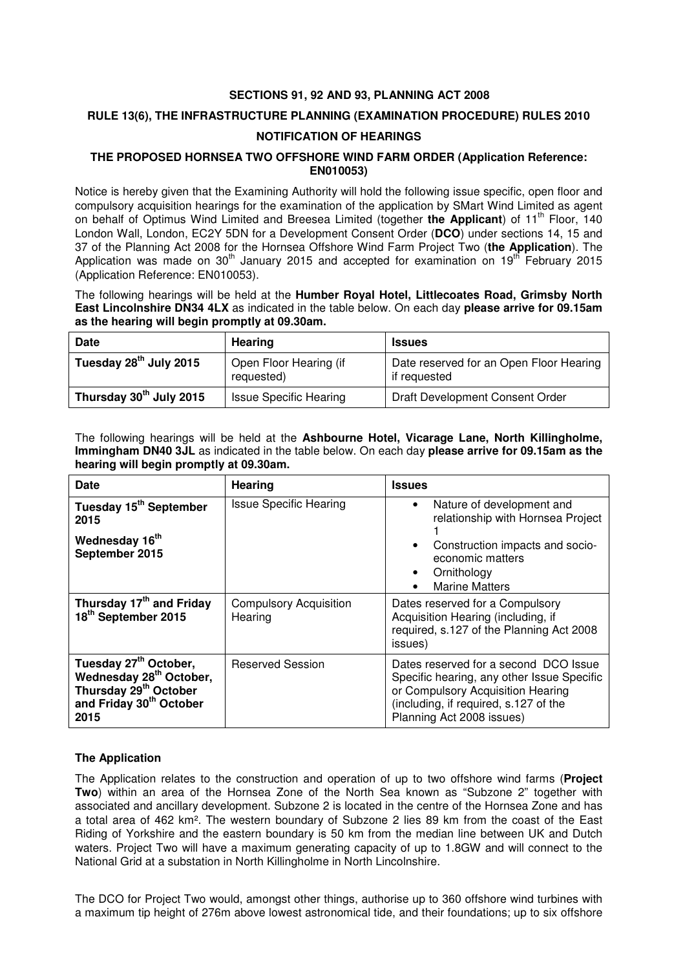# **SECTIONS 91, 92 AND 93, PLANNING ACT 2008**

## **RULE 13(6), THE INFRASTRUCTURE PLANNING (EXAMINATION PROCEDURE) RULES 2010**

## **NOTIFICATION OF HEARINGS**

## **THE PROPOSED HORNSEA TWO OFFSHORE WIND FARM ORDER (Application Reference: EN010053)**

Notice is hereby given that the Examining Authority will hold the following issue specific, open floor and compulsory acquisition hearings for the examination of the application by SMart Wind Limited as agent on behalf of Optimus Wind Limited and Breesea Limited (together the Applicant) of 11<sup>th</sup> Floor, 140 London Wall, London, EC2Y 5DN for a Development Consent Order (**DCO**) under sections 14, 15 and 37 of the Planning Act 2008 for the Hornsea Offshore Wind Farm Project Two (**the Application**). The Application was made on 30<sup>th</sup> January 2015 and accepted for examination on 19<sup>th</sup> February 2015 (Application Reference: EN010053).

The following hearings will be held at the **Humber Royal Hotel, Littlecoates Road, Grimsby North East Lincolnshire DN34 4LX** as indicated in the table below. On each day **please arrive for 09.15am as the hearing will begin promptly at 09.30am.** 

| <b>Date</b>                        | <b>Hearing</b>                       | <b>Issues</b>                                           |
|------------------------------------|--------------------------------------|---------------------------------------------------------|
| Tuesday 28 <sup>th</sup> July 2015 | Open Floor Hearing (if<br>requested) | Date reserved for an Open Floor Hearing<br>if requested |
| Thursday 30th July 2015            | <b>Issue Specific Hearing</b>        | Draft Development Consent Order                         |

The following hearings will be held at the **Ashbourne Hotel, Vicarage Lane, North Killingholme, Immingham DN40 3JL** as indicated in the table below. On each day **please arrive for 09.15am as the hearing will begin promptly at 09.30am.** 

| Date                                                                                                                                                         | <b>Hearing</b>                           | <b>Issues</b>                                                                                                                                                                                  |
|--------------------------------------------------------------------------------------------------------------------------------------------------------------|------------------------------------------|------------------------------------------------------------------------------------------------------------------------------------------------------------------------------------------------|
| Tuesday 15 <sup>th</sup> September<br>2015                                                                                                                   | <b>Issue Specific Hearing</b>            | Nature of development and<br>relationship with Hornsea Project                                                                                                                                 |
| Wednesday 16 <sup>th</sup><br>September 2015                                                                                                                 |                                          | Construction impacts and socio-<br>economic matters<br>Ornithology<br><b>Marine Matters</b>                                                                                                    |
| Thursday 17 <sup>th</sup> and Friday<br>18 <sup>th</sup> September 2015                                                                                      | <b>Compulsory Acquisition</b><br>Hearing | Dates reserved for a Compulsory<br>Acquisition Hearing (including, if<br>required, s.127 of the Planning Act 2008<br>issues)                                                                   |
| Tuesday 27 <sup>th</sup> October,<br>Wednesday 28 <sup>th</sup> October,<br>Thursday 29 <sup>th</sup> October<br>and Friday 30 <sup>th</sup> October<br>2015 | <b>Reserved Session</b>                  | Dates reserved for a second DCO Issue<br>Specific hearing, any other Issue Specific<br>or Compulsory Acquisition Hearing<br>(including, if required, s.127 of the<br>Planning Act 2008 issues) |

# **The Application**

The Application relates to the construction and operation of up to two offshore wind farms (**Project Two**) within an area of the Hornsea Zone of the North Sea known as "Subzone 2" together with associated and ancillary development. Subzone 2 is located in the centre of the Hornsea Zone and has a total area of 462 km². The western boundary of Subzone 2 lies 89 km from the coast of the East Riding of Yorkshire and the eastern boundary is 50 km from the median line between UK and Dutch waters. Project Two will have a maximum generating capacity of up to 1.8GW and will connect to the National Grid at a substation in North Killingholme in North Lincolnshire.

The DCO for Project Two would, amongst other things, authorise up to 360 offshore wind turbines with a maximum tip height of 276m above lowest astronomical tide, and their foundations; up to six offshore